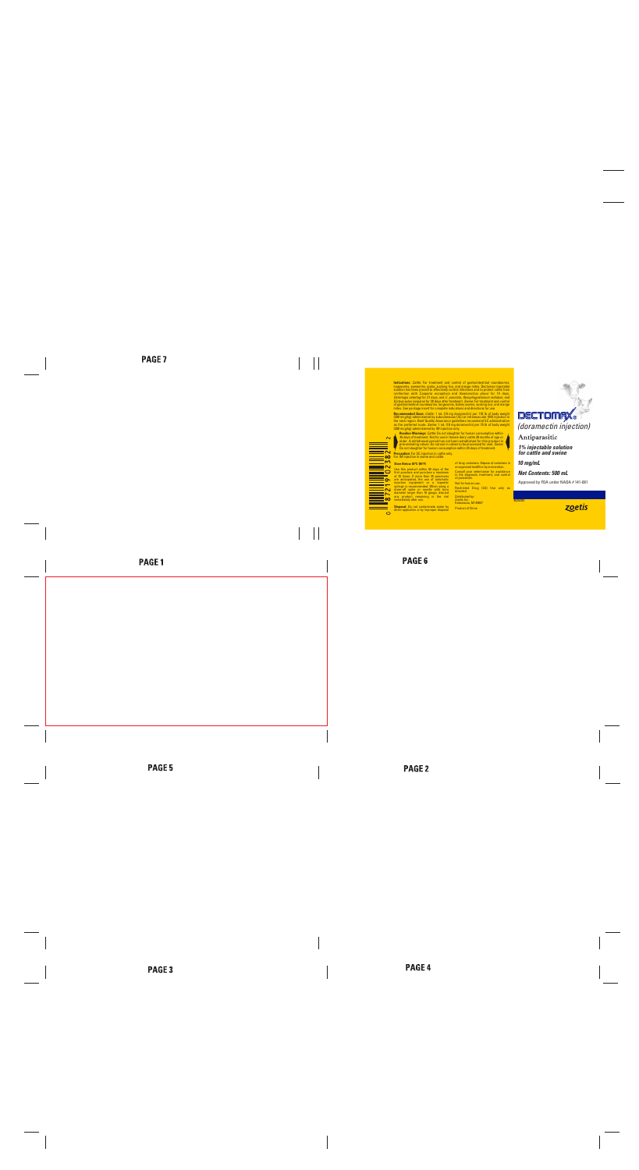**Indications:** *Cattle:* For treatment and control of gastrointestinal roundworms, lungworms, eyeworms, grubs, sucking lice, and mange mites. Dectomax injectable solution has been proved to effectively control infections and to protect cattle from reinfection with *Cooperia oncophora* and *Haemonchus placei* for 14 days, *Ostertagia ostertagi* for 21 days, and *C. punctata, Oesophagostomum radiatum,* and *Dictyocaulus viviparus* for 28 days after treatment. *Swine:* For treatment and control of gastrointestinal roundworms, lungworms, kidney worms, sucking lice, and mange mites. See package insert for complete indications and directions for use.

**Recommended Dose:** *Cattle:* 1 mL (10 mg doramectin) per 110 lb of body weight (200 mcg/kg) administered by subcutaneous (SC) or intramuscular (IM) injection in the neck region. Beef Quality Assurance guidelines recommend SC administration as the preferred route. *Swine:* 1 mL (10 mg doramectin) per 75 lb of body weight (300 mcg/kg) administered by IM injection only. 

 $\sim$ 

 **Residue Warnings:** *Cattle:* Do not slaughter for human consumption within 35 days of treatment. Not for use in female dairy cattle 20 months of age or older. A withdrawal period has not been established for this product in preruminating calves. Do not use in calves to be processed for veal. *Swine*: Do not slaughter for human consumption within 24 days of treatment.

**Precaution:** For SC injection in cattle only. For IM injection in swine and cattle.

### **Store Below 30°C (86°F)**

Use this product within 90 days of the first puncture and puncture a maximum of 25 times. If more than 25 punctures are anticipated, the use of automatic injection equipment or a repeater syringe is recommended. When using a draw-off spike or needle with bore diameter larger than 16 gauge, discard any product remaining in the vial immediately after use.

**Disposal:** Do not contaminate water by direct application or by improper disposal of drug containers. Dispose of containers in an approved landfill or by incineration.

Consult your veterinarian for assistance in the diagnosis, treatment, and control of parasitism.

Not for human use.

Restricted Drug (CA) Use only as directed.

Distributed by: Zoetis Inc. Kalamazoo, MI 49007

Product of China

**DECTOMAX** *(doramectin injection)*

## Antiparasitic

*1% injectable solution for cattle and swine* 

*10 mg/mL*

## *Net Contents: 500 mL*

Approved by FDA under NADA # 141-061

4026209